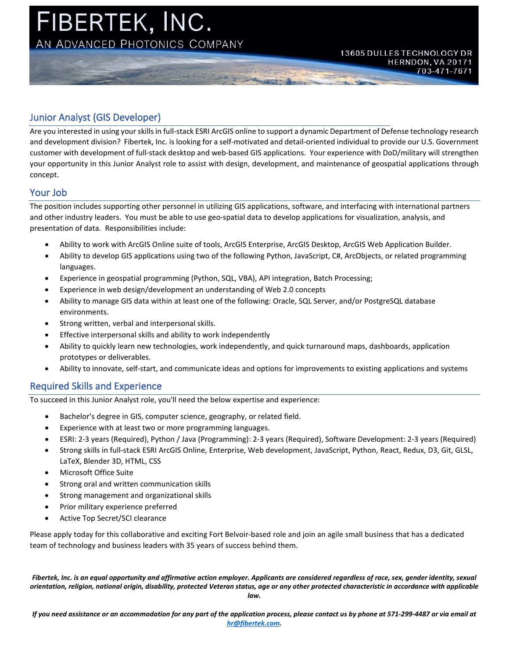

## Junior Analyst (GIS Developer)

Are you interested in using your skills in full-stack ESRI ArcGIS online to support a dynamic Department of Defense technology research and development division? Fibertek, Inc. is looking for a self-motivated and detail-oriented individual to provide our U.S. Government customer with development of full-stack desktop and web-based GIS applications. Your experience with DoD/military will strengthen your opportunity in this Junior Analyst role to assist with design, development, and maintenance of geospatial applications through concept.

## Your Job

The position includes supporting other personnel in utilizing GIS applications, software, and interfacing with international partners and other industry leaders. You must be able to use geo-spatial data to develop applications for visualization, analysis, and presentation of data. Responsibilities include:

- Ability to work with ArcGIS Online suite of tools, ArcGIS Enterprise, ArcGIS Desktop, ArcGIS Web Application Builder.
- Ability to develop GIS applications using two of the following Python, JavaScript, C#, ArcObjects, or related programming languages.
- Experience in geospatial programming (Python, SQL, VBA), API integration, Batch Processing;
- Experience in web design/development an understanding of Web 2.0 concepts
- Ability to manage GIS data within at least one of the following: Oracle, SQL Server, and/or PostgreSQL database environments.
- Strong written, verbal and interpersonal skills.
- Effective interpersonal skills and ability to work independently
- Ability to quickly learn new technologies, work independently, and quick turnaround maps, dashboards, application prototypes or deliverables.
- Ability to innovate, self-start, and communicate ideas and options for improvements to existing applications and systems

## Required Skills and Experience

To succeed in this Junior Analyst role, you'll need the below expertise and experience:

- Bachelor's degree in GIS, computer science, geography, or related field.
- Experience with at least two or more programming languages.
- ESRI: 2-3 years (Required), Python / Java (Programming): 2-3 years (Required), Software Development: 2-3 years (Required)
- Strong skills in full-stack ESRI ArcGIS Online, Enterprise, Web development, JavaScript, Python, React, Redux, D3, Git, GLSL, LaTeX, Blender 3D, HTML, CSS
- Microsoft Office Suite
- Strong oral and written communication skills
- Strong management and organizational skills
- Prior military experience preferred
- Active Top Secret/SCI clearance

Please apply today for this collaborative and exciting Fort Belvoir-based role and join an agile small business that has a dedicated team of technology and business leaders with 35 years of success behind them.

*Fibertek, Inc. is an equal opportunity and affirmative action employer. Applicants are considered regardless of race, sex, gender identity, sexual orientation, religion, national origin, disability, protected Veteran status, age or any other protected characteristic in accordance with applicable* 

*law.*

*If you need assistance or an accommodation for any part of the application process, please contact us by phone at 571-299-4487 or via email at [hr@fibertek.com.](mailto:hr@fibertek.com)*